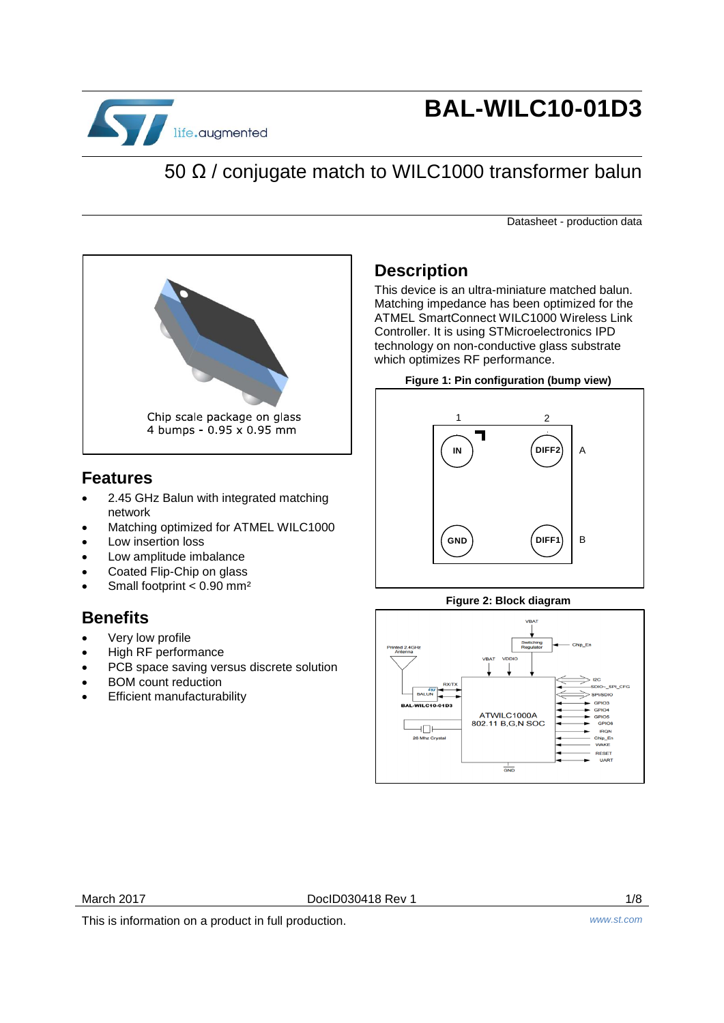

## **BAL-WILC10-01D3**

## 50 Ω / conjugate match to WILC1000 transformer balun

Datasheet - production data



#### **Features**

- 2.45 GHz Balun with integrated matching network
- Matching optimized for ATMEL WILC1000
- Low insertion loss
- Low amplitude imbalance
- Coated Flip-Chip on glass
- Small footprint < 0.90 mm²

#### **Benefits**

- Very low profile
- High RF performance
- PCB space saving versus discrete solution
- BOM count reduction
- Efficient manufacturability

#### **Description**

This device is an ultra-miniature matched balun. Matching impedance has been optimized for the ATMEL SmartConnect WILC1000 Wireless Link Controller. It is using STMicroelectronics IPD technology on non-conductive glass substrate which optimizes RF performance.

#### **Figure 1: Pin configuration (bump view)**



#### **Figure 2: Block diagram**



March 2017 **DoclD030418 Rev 1** 2017 **1/8** 

This is information on a product in full production. *www.st.com*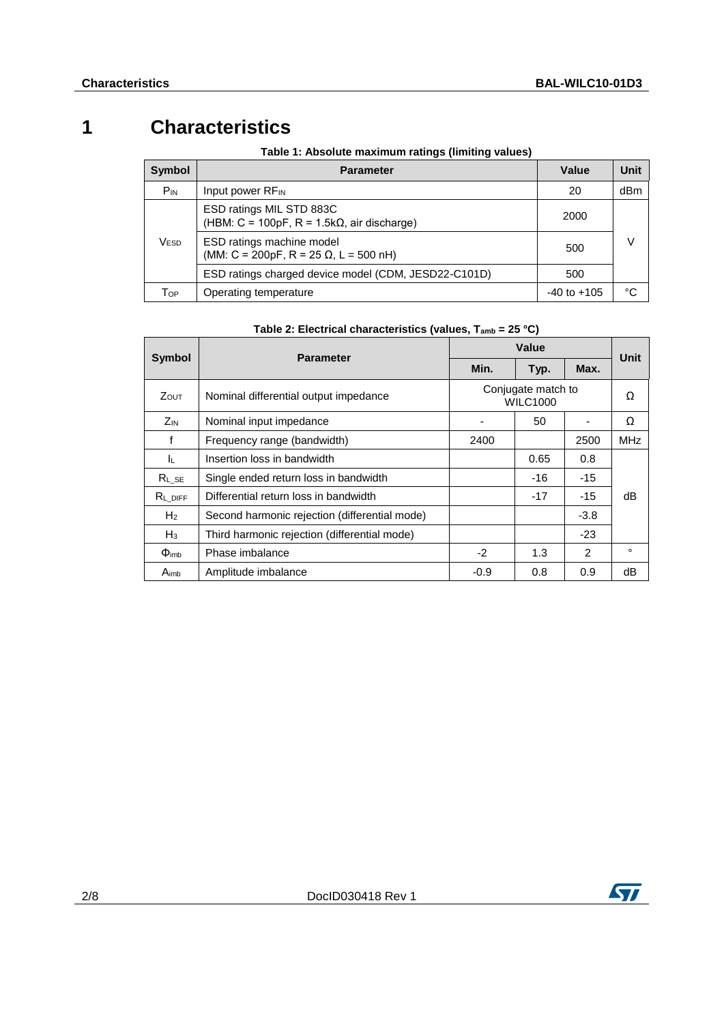## **1 Characteristics**

**Table 1: Absolute maximum ratings (limiting values)**

| <b>Symbol</b> | <b>Parameter</b>                                                                | Value           | Unit |  |
|---------------|---------------------------------------------------------------------------------|-----------------|------|--|
| $P_{IN}$      | Input power RF <sub>IN</sub>                                                    | 20              | dBm  |  |
|               | ESD ratings MIL STD 883C<br>(HBM: C = 100pF, R = 1.5k $\Omega$ , air discharge) | 2000            |      |  |
| Vesd          | ESD ratings machine model<br>(MM: C = 200pF, R = 25 $\Omega$ , L = 500 nH)      | 500             |      |  |
|               | ESD ratings charged device model (CDM, JESD22-C101D)                            | 500             |      |  |
| Тор           | Operating temperature                                                           | $-40$ to $+105$ | ∘د   |  |

| Table 2: Electrical characteristics (values, $T_{amb} = 25 \degree C$ ) |  |  |
|-------------------------------------------------------------------------|--|--|
|                                                                         |  |  |

|                                   |                                               |                                       | Unit |               |            |
|-----------------------------------|-----------------------------------------------|---------------------------------------|------|---------------|------------|
| <b>Symbol</b><br><b>Parameter</b> |                                               | Min.                                  | Typ. | Max.          |            |
| <b>Z</b> out                      | Nominal differential output impedance         | Conjugate match to<br><b>WILC1000</b> |      |               | Ω          |
| Z <sub>IN</sub>                   | Nominal input impedance                       |                                       | 50   |               | Ω          |
| f                                 | Frequency range (bandwidth)                   | 2400                                  |      | 2500          | <b>MHz</b> |
| ΙL.                               | Insertion loss in bandwidth                   |                                       | 0.65 | 0.8           |            |
| $RL$ se                           | Single ended return loss in bandwidth         |                                       | -16  | -15           |            |
| $R_L$ DIFF                        | Differential return loss in bandwidth         |                                       | -17  | -15           | dB         |
| H <sub>2</sub>                    | Second harmonic rejection (differential mode) |                                       |      | $-3.8$        |            |
| $H_3$                             | Third harmonic rejection (differential mode)  |                                       |      | $-23$         |            |
| $\Phi_{\text{imb}}$               | Phase imbalance                               | $-2$                                  | 1.3  | $\mathcal{P}$ | $\circ$    |
| A <sub>imb</sub>                  | Amplitude imbalance                           | $-0.9$                                | 0.8  | 0.9           | dB         |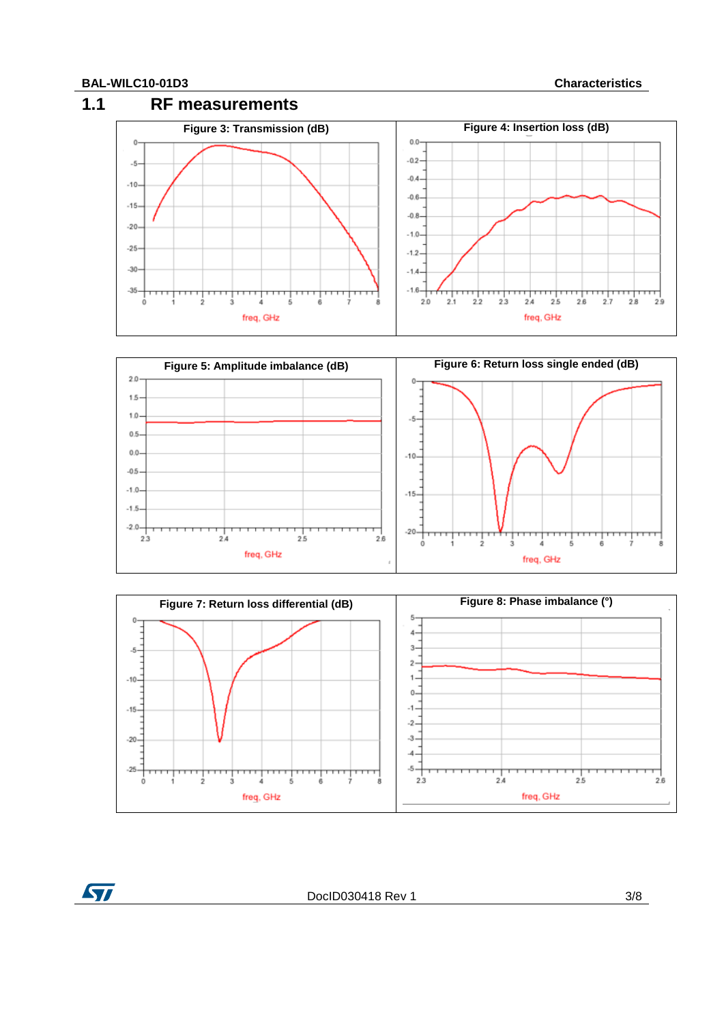$\sqrt{2}$ 







DocID030418 Rev 1 3/8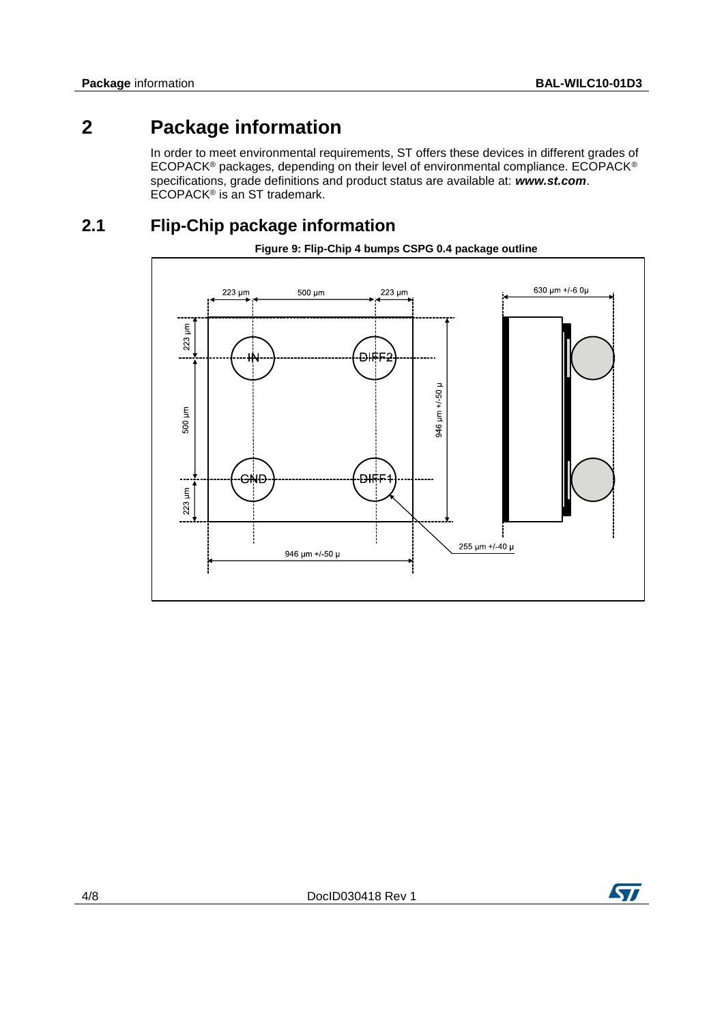## **2 Package information**

In order to meet environmental requirements, ST offers these devices in different grades of ECOPACK® packages, depending on their level of environmental compliance. ECOPACK® specifications, grade definitions and product status are available at: *www.st.com*. ECOPACK<sup>®</sup> is an ST trademark.

#### **2.1 Flip-Chip package information**



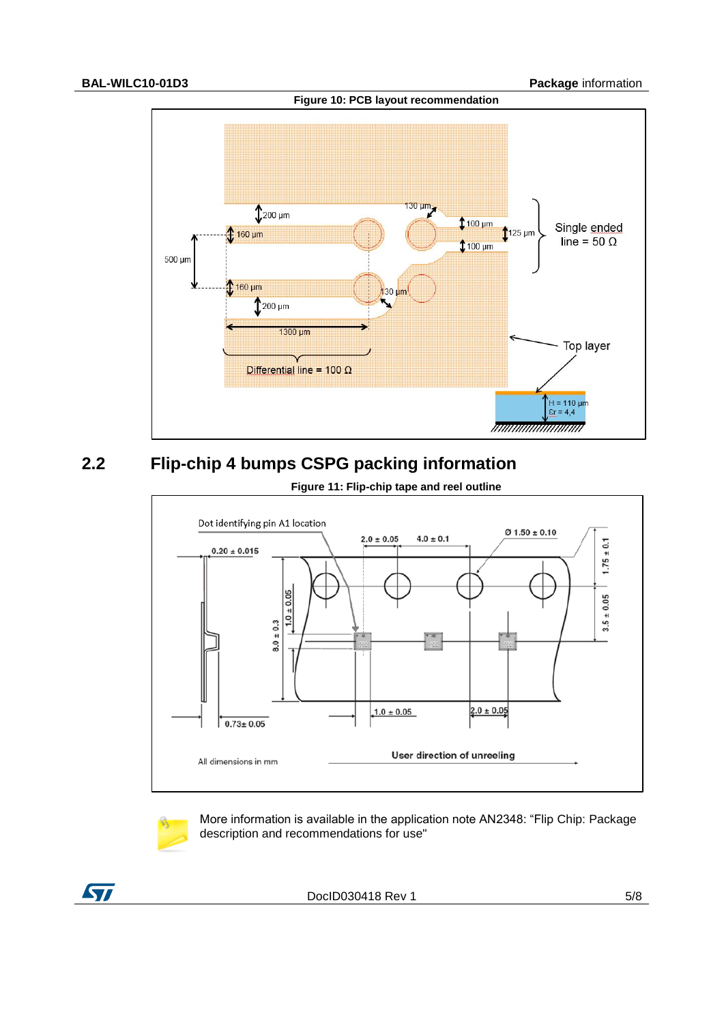

#### **2.2 Flip-chip 4 bumps CSPG packing information**



More information is available in the application note AN2348: "Flip Chip: Package description and recommendations for use"



DocID030418 Rev 1 5/8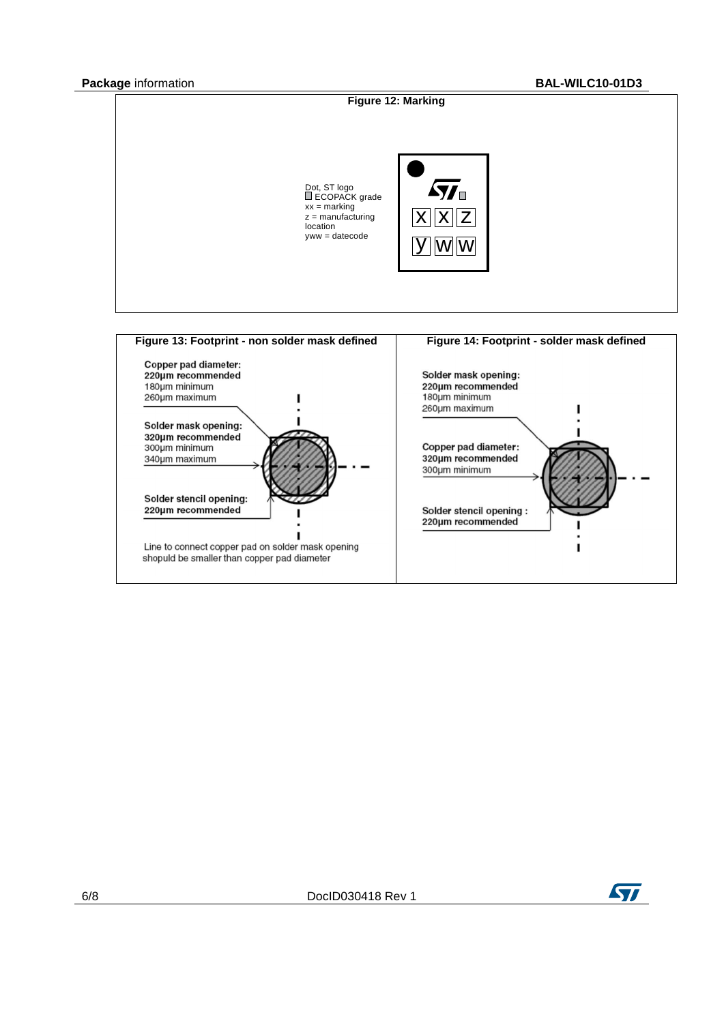

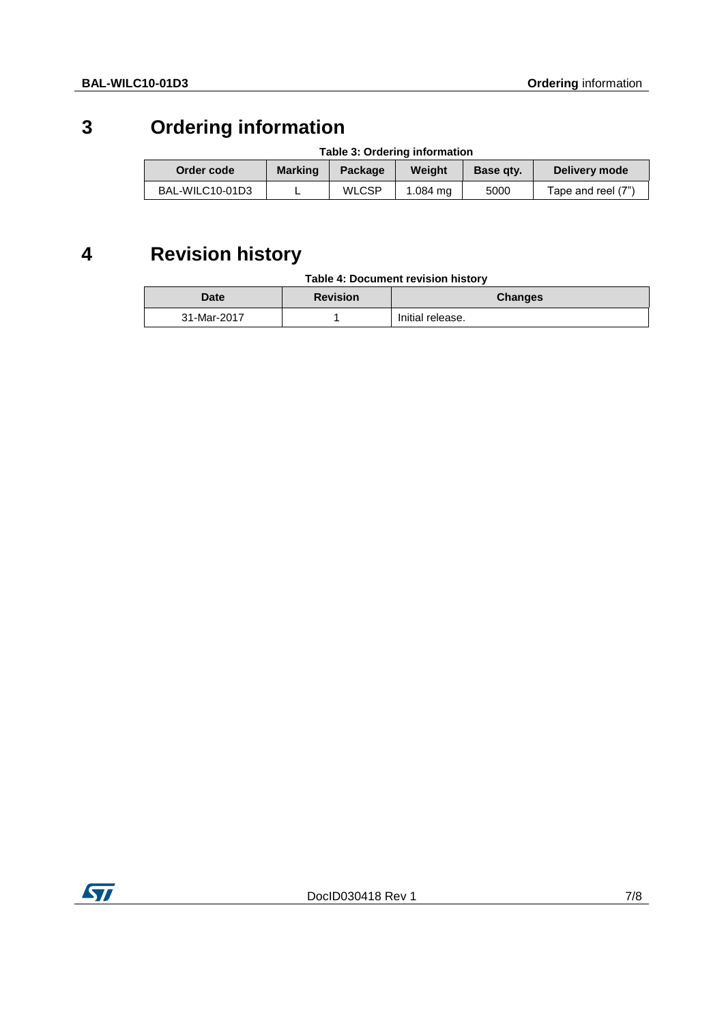## **3 Ordering information**

| Table 3: Ordering information |                |              |          |           |                    |
|-------------------------------|----------------|--------------|----------|-----------|--------------------|
| Order code                    | <b>Marking</b> | Package      | Weight   | Base gty. | Delivery mode      |
| BAL-WILC10-01D3               |                | <b>WLCSP</b> | 1.084 ma | 5000      | Tape and reel (7") |

# **4 Revision history**

| <b>Date</b> | <b>Revision</b> | <b>Changes</b>   |
|-------------|-----------------|------------------|
| 31-Mar-2017 |                 | Initial release. |